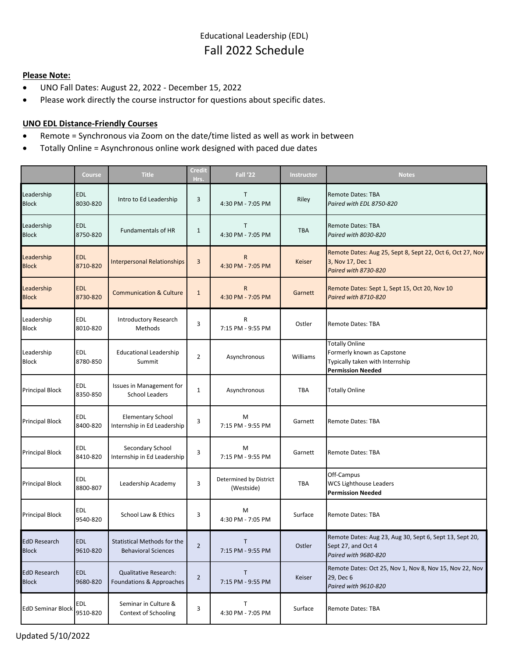## **Please Note:**

- UNO Fall Dates: August 22, 2022 December 15, 2022
- Please work directly the course instructor for questions about specific dates.

## **UNO EDL Distance-Friendly Courses**

- Remote = Synchronous via Zoom on the date/time listed as well as work in between
- Totally Online = Asynchronous online work designed with paced due dates

|                                     | Course                 | <b>Title</b>                                              | <b>Credit</b><br>Hrs. | <b>Fall '22</b>                      | Instructor    | <b>Notes</b>                                                                                                       |
|-------------------------------------|------------------------|-----------------------------------------------------------|-----------------------|--------------------------------------|---------------|--------------------------------------------------------------------------------------------------------------------|
| Leadership<br><b>Block</b>          | <b>EDL</b><br>8030-820 | Intro to Ed Leadership                                    | 3                     | т<br>4:30 PM - 7:05 PM               | Riley         | Remote Dates: TBA<br>Paired with EDL 8750-820                                                                      |
| Leadership<br><b>Block</b>          | <b>EDL</b><br>8750-820 | <b>Fundamentals of HR</b>                                 | $\mathbf{1}$          | Т<br>4:30 PM - 7:05 PM               | <b>TBA</b>    | <b>Remote Dates: TBA</b><br>Paired with 8030-820                                                                   |
| Leadership<br><b>Block</b>          | <b>EDL</b><br>8710-820 | <b>Interpersonal Relationships</b>                        | 3                     | $\mathsf{R}$<br>4:30 PM - 7:05 PM    | <b>Keiser</b> | Remote Dates: Aug 25, Sept 8, Sept 22, Oct 6, Oct 27, Nov<br>3, Nov 17, Dec 1<br>Paired with 8730-820              |
| Leadership<br><b>Block</b>          | <b>EDL</b><br>8730-820 | <b>Communication &amp; Culture</b>                        | $\mathbf{1}$          | $\mathsf{R}$<br>4:30 PM - 7:05 PM    | Garnett       | Remote Dates: Sept 1, Sept 15, Oct 20, Nov 10<br>Paired with 8710-820                                              |
| Leadership<br><b>Block</b>          | EDL<br>8010-820        | <b>Introductory Research</b><br><b>Methods</b>            | 3                     | R<br>7:15 PM - 9:55 PM               | Ostler        | Remote Dates: TBA                                                                                                  |
| Leadership<br><b>Block</b>          | <b>EDL</b><br>8780-850 | <b>Educational Leadership</b><br>Summit                   | $\overline{2}$        | Asynchronous                         | Williams      | <b>Totally Online</b><br>Formerly known as Capstone<br>Typically taken with Internship<br><b>Permission Needed</b> |
| <b>Principal Block</b>              | EDL<br>8350-850        | Issues in Management for<br><b>School Leaders</b>         | 1                     | Asynchronous                         | TBA           | <b>Totally Online</b>                                                                                              |
| <b>Principal Block</b>              | <b>EDL</b><br>8400-820 | <b>Elementary School</b><br>Internship in Ed Leadership   | 3                     | M<br>7:15 PM - 9:55 PM               | Garnett       | Remote Dates: TBA                                                                                                  |
| <b>Principal Block</b>              | <b>EDL</b><br>8410-820 | Secondary School<br>Internship in Ed Leadership           | 3                     | M<br>7:15 PM - 9:55 PM               | Garnett       | Remote Dates: TBA                                                                                                  |
| <b>Principal Block</b>              | <b>EDL</b><br>8800-807 | Leadership Academy                                        | 3                     | Determined by District<br>(Westside) | <b>TBA</b>    | Off-Campus<br><b>WCS Lighthouse Leaders</b><br><b>Permission Needed</b>                                            |
| <b>Principal Block</b>              | EDL<br>9540-820        | School Law & Ethics                                       | 3                     | M<br>4:30 PM - 7:05 PM               | Surface       | <b>Remote Dates: TBA</b>                                                                                           |
| <b>EdD Research</b><br><b>Block</b> | <b>EDL</b><br>9610-820 | Statistical Methods for the<br><b>Behavioral Sciences</b> | $\overline{2}$        | Τ<br>7:15 PM - 9:55 PM               | Ostler        | Remote Dates: Aug 23, Aug 30, Sept 6, Sept 13, Sept 20,<br>Sept 27, and Oct 4<br>Paired with 9680-820              |
| <b>EdD Research</b><br><b>Block</b> | <b>EDL</b><br>9680-820 | <b>Qualitative Research:</b><br>Foundations & Approaches  | $\overline{2}$        | T<br>7:15 PM - 9:55 PM               | Keiser        | Remote Dates: Oct 25, Nov 1, Nov 8, Nov 15, Nov 22, Nov<br>29, Dec 6<br>Paired with 9610-820                       |
| <b>EdD Seminar Block</b>            | EDL<br>9510-820        | Seminar in Culture &<br>Context of Schooling              | 3                     | Т<br>4:30 PM - 7:05 PM               | Surface       | Remote Dates: TBA                                                                                                  |